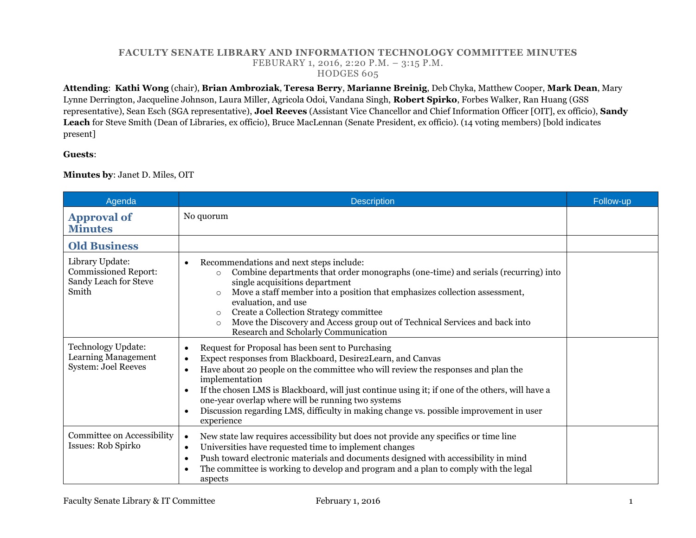## **FACULTY SENATE LIBRARY AND INFORMATION TECHNOLOGY COMMITTEE MINUTES** FEBURARY 1, 2016, 2:20 P.M. – 3:15 P.M. HODGES 605

**Attending**: **Kathi Wong** (chair), **Brian Ambroziak**, **Teresa Berry**, **Marianne Breinig**, Deb Chyka, Matthew Cooper, **Mark Dean**, Mary Lynne Derrington, Jacqueline Johnson, Laura Miller, Agricola Odoi, Vandana Singh, **Robert Spirko**, Forbes Walker, Ran Huang (GSS representative), Sean Esch (SGA representative), **Joel Reeves** (Assistant Vice Chancellor and Chief Information Officer [OIT], ex officio), **Sandy Leach** for Steve Smith (Dean of Libraries, ex officio), Bruce MacLennan (Senate President, ex officio). (14 voting members) [bold indicates present]

## **Guests**:

**Minutes by**: Janet D. Miles, OIT

| Agenda                                                                           | <b>Description</b>                                                                                                                                                                                                                                                                                                                                                                                                                                                                                                                                     | Follow-up |
|----------------------------------------------------------------------------------|--------------------------------------------------------------------------------------------------------------------------------------------------------------------------------------------------------------------------------------------------------------------------------------------------------------------------------------------------------------------------------------------------------------------------------------------------------------------------------------------------------------------------------------------------------|-----------|
| <b>Approval of</b><br><b>Minutes</b>                                             | No quorum                                                                                                                                                                                                                                                                                                                                                                                                                                                                                                                                              |           |
| <b>Old Business</b>                                                              |                                                                                                                                                                                                                                                                                                                                                                                                                                                                                                                                                        |           |
| Library Update:<br><b>Commissioned Report:</b><br>Sandy Leach for Steve<br>Smith | Recommendations and next steps include:<br>$\bullet$<br>Combine departments that order monographs (one-time) and serials (recurring) into<br>$\Omega$<br>single acquisitions department<br>Move a staff member into a position that emphasizes collection assessment,<br>$\circ$<br>evaluation, and use<br>Create a Collection Strategy committee<br>$\circ$<br>Move the Discovery and Access group out of Technical Services and back into<br>$\circ$<br>Research and Scholarly Communication                                                         |           |
| <b>Technology Update:</b><br><b>Learning Management</b><br>System: Joel Reeves   | Request for Proposal has been sent to Purchasing<br>$\bullet$<br>Expect responses from Blackboard, Desire2Learn, and Canvas<br>$\bullet$<br>Have about 20 people on the committee who will review the responses and plan the<br>$\bullet$<br>implementation<br>If the chosen LMS is Blackboard, will just continue using it; if one of the others, will have a<br>$\bullet$<br>one-year overlap where will be running two systems<br>Discussion regarding LMS, difficulty in making change vs. possible improvement in user<br>$\bullet$<br>experience |           |
| Committee on Accessibility<br>Issues: Rob Spirko                                 | New state law requires accessibility but does not provide any specifics or time line<br>$\bullet$<br>Universities have requested time to implement changes<br>$\bullet$<br>Push toward electronic materials and documents designed with accessibility in mind<br>$\bullet$<br>The committee is working to develop and program and a plan to comply with the legal<br>$\bullet$<br>aspects                                                                                                                                                              |           |